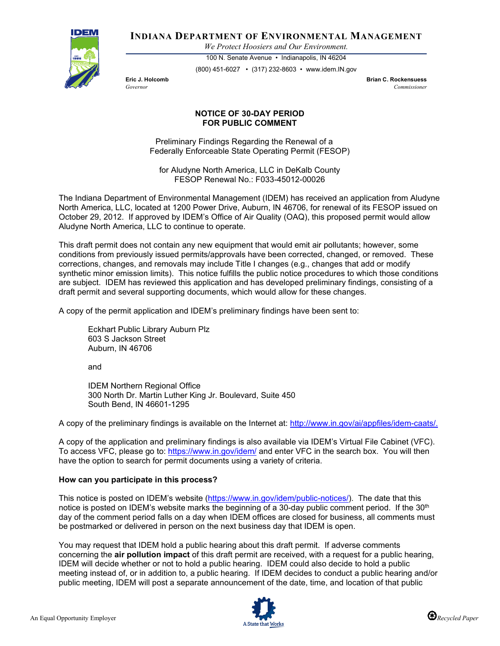

**INDIANA DEPARTMENT OF ENVIRONMENTAL MANAGEMENT**

*We Protect Hoosiers and Our Environment.*

100 N. Senate Avenue • Indianapolis, IN 46204 (800) 451-6027 • (317) 232-8603 • www.idem.IN.gov

**Eric J. Holcomb Brian C. Rockensuess** *Governor Commissioner* 

## **NOTICE OF 30-DAY PERIOD FOR PUBLIC COMMENT**

Preliminary Findings Regarding the Renewal of a Federally Enforceable State Operating Permit (FESOP)

for Aludyne North America, LLC in DeKalb County FESOP Renewal No.: F033-45012-00026

The Indiana Department of Environmental Management (IDEM) has received an application from Aludyne North America, LLC, located at 1200 Power Drive, Auburn, IN 46706, for renewal of its FESOP issued on October 29, 2012. If approved by IDEM's Office of Air Quality (OAQ), this proposed permit would allow Aludyne North America, LLC to continue to operate.

This draft permit does not contain any new equipment that would emit air pollutants; however, some conditions from previously issued permits/approvals have been corrected, changed, or removed. These corrections, changes, and removals may include Title I changes (e.g., changes that add or modify synthetic minor emission limits). This notice fulfills the public notice procedures to which those conditions are subject. IDEM has reviewed this application and has developed preliminary findings, consisting of a draft permit and several supporting documents, which would allow for these changes.

A copy of the permit application and IDEM's preliminary findings have been sent to:

Eckhart Public Library Auburn Plz 603 S Jackson Street Auburn, IN 46706

and

IDEM Northern Regional Office 300 North Dr. Martin Luther King Jr. Boulevard, Suite 450 South Bend, IN 46601-1295

A copy of the preliminary findings is available on the Internet at: [http://www.in.gov/ai/appfiles/idem-caats/.](http://www.in.gov/ai/appfiles/idem-caats/)

A copy of the application and preliminary findings is also available via IDEM's Virtual File Cabinet (VFC). To access VFC, please go to:<https://www.in.gov/idem/> and enter VFC in the search box. You will then have the option to search for permit documents using a variety of criteria.

## **How can you participate in this process?**

This notice is posted on IDEM's website [\(https://www.in.gov/idem/public-notices/\)](https://www.in.gov/idem/public-notices/). The date that this notice is posted on IDEM's website marks the beginning of a 30-day public comment period. If the 30<sup>th</sup> day of the comment period falls on a day when IDEM offices are closed for business, all comments must be postmarked or delivered in person on the next business day that IDEM is open.

You may request that IDEM hold a public hearing about this draft permit. If adverse comments concerning the **air pollution impact** of this draft permit are received, with a request for a public hearing, IDEM will decide whether or not to hold a public hearing. IDEM could also decide to hold a public meeting instead of, or in addition to, a public hearing. If IDEM decides to conduct a public hearing and/or public meeting, IDEM will post a separate announcement of the date, time, and location of that public